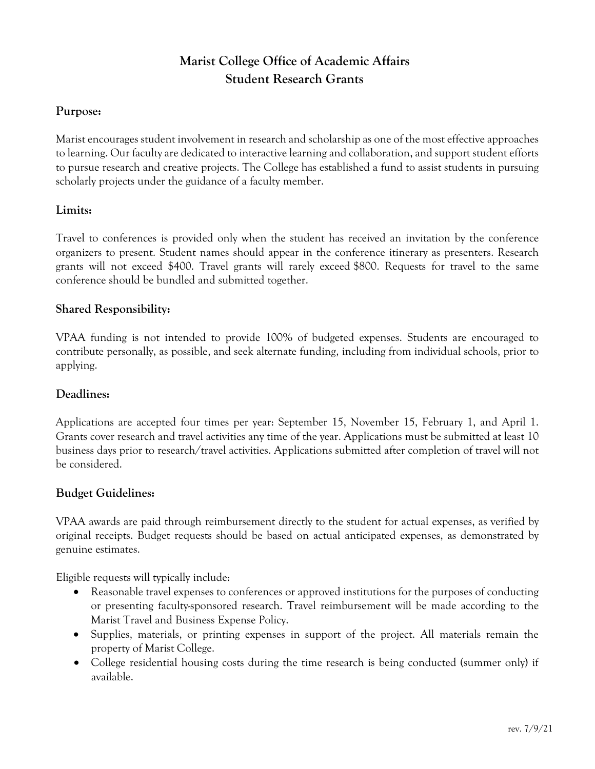# **Marist College Office of Academic Affairs Student Research Grants**

#### **Purpose:**

Marist encourages student involvement in research and scholarship as one of the most effective approaches to learning. Our faculty are dedicated to interactive learning and collaboration, and support student efforts to pursue research and creative projects. The College has established a fund to assist students in pursuing scholarly projects under the guidance of a faculty member.

#### **Limits:**

Travel to conferences is provided only when the student has received an invitation by the conference organizers to present. Student names should appear in the conference itinerary as presenters. Research grants will not exceed \$400. Travel grants will rarely exceed \$800. Requests for travel to the same conference should be bundled and submitted together.

## **Shared Responsibility:**

VPAA funding is not intended to provide 100% of budgeted expenses. Students are encouraged to contribute personally, as possible, and seek alternate funding, including from individual schools, prior to applying.

#### **Deadlines:**

Applications are accepted four times per year: September 15, November 15, February 1, and April 1. Grants cover research and travel activities any time of the year. Applications must be submitted at least 10 business days prior to research/travel activities. Applications submitted after completion of travel will not be considered.

#### **Budget Guidelines:**

VPAA awards are paid through reimbursement directly to the student for actual expenses, as verified by original receipts. Budget requests should be based on actual anticipated expenses, as demonstrated by genuine estimates.

Eligible requests will typically include:

- Reasonable travel expenses to conferences or approved institutions for the purposes of conducting or presenting faculty-sponsored research. Travel reimbursement will be made according to the Marist Travel and Business Expense Policy.
- Supplies, materials, or printing expenses in support of the project. All materials remain the property of Marist College.
- College residential housing costs during the time research is being conducted (summer only) if available.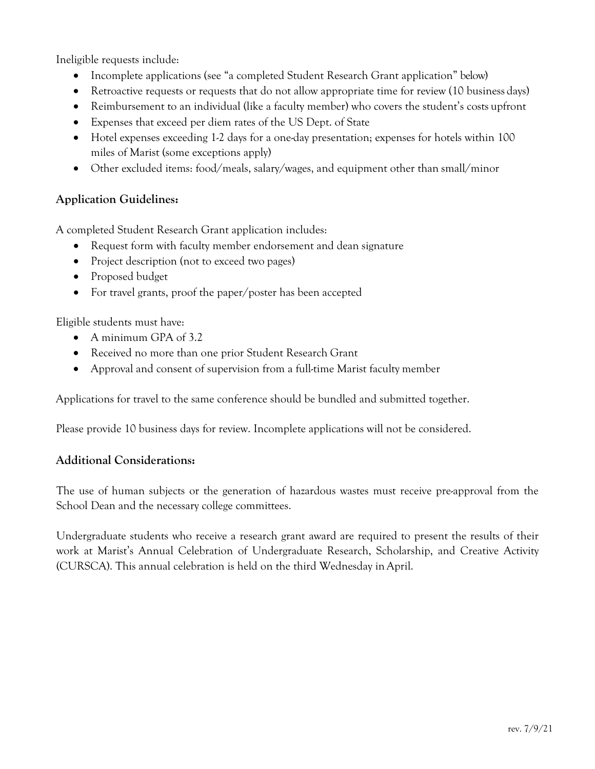Ineligible requests include:

- Incomplete applications (see "a completed Student Research Grant application" below)
- Retroactive requests or requests that do not allow appropriate time for review (10 business days)
- Reimbursement to an individual (like a faculty member) who covers the student's costs upfront
- Expenses that exceed per diem rates of the US Dept. of State
- Hotel expenses exceeding 1-2 days for a one-day presentation; expenses for hotels within 100 miles of Marist (some exceptions apply)
- Other excluded items: food/meals, salary/wages, and equipment other than small/minor

# **Application Guidelines:**

A completed Student Research Grant application includes:

- Request form with faculty member endorsement and dean signature
- Project description (not to exceed two pages)
- Proposed budget
- For travel grants, proof the paper/poster has been accepted

Eligible students must have:

- A minimum GPA of 3.2
- Received no more than one prior Student Research Grant
- Approval and consent of supervision from a full-time Marist faculty member

Applications for travel to the same conference should be bundled and submitted together.

Please provide 10 business days for review. Incomplete applications will not be considered.

## **Additional Considerations:**

The use of human subjects or the generation of hazardous wastes must receive pre-approval from the School Dean and the necessary college committees.

Undergraduate students who receive a research grant award are required to present the results of their work at Marist's Annual Celebration of Undergraduate Research, Scholarship, and Creative Activity (CURSCA). This annual celebration is held on the third Wednesday in April.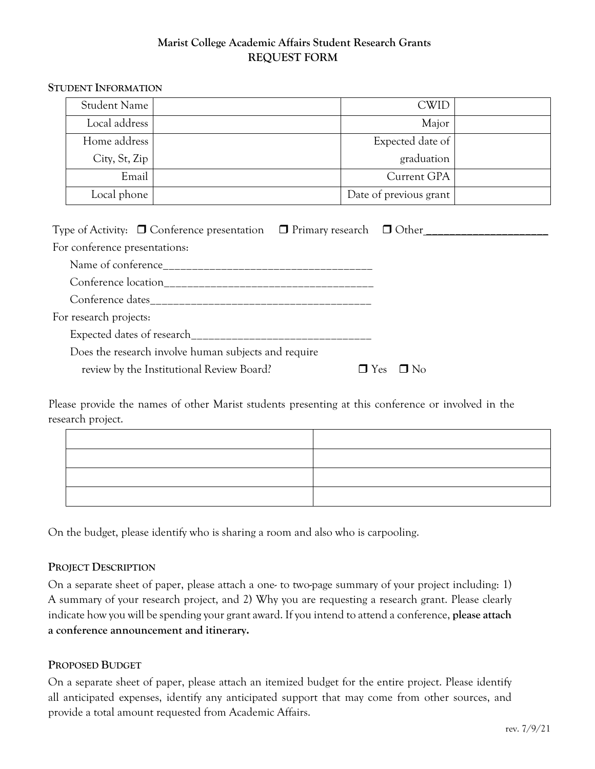## **Marist College Academic Affairs Student Research Grants REQUEST FORM**

#### **STUDENT INFORMATION**

| <b>Student Name</b> | <b>CWID</b>            |  |
|---------------------|------------------------|--|
| Local address       | Major                  |  |
| Home address        | Expected date of       |  |
| City, St, Zip       | graduation             |  |
| Email               | Current GPA            |  |
| Local phone         | Date of previous grant |  |

| Type of Activity: $\Box$ Conference presentation $\Box$ Primary research $\Box$ Other |                         |
|---------------------------------------------------------------------------------------|-------------------------|
| For conference presentations:                                                         |                         |
|                                                                                       |                         |
|                                                                                       |                         |
|                                                                                       |                         |
| For research projects:                                                                |                         |
|                                                                                       |                         |
| Does the research involve human subjects and require                                  |                         |
| review by the Institutional Review Board?                                             | $\Box$ No<br><b>Yes</b> |

Please provide the names of other Marist students presenting at this conference or involved in the research project.

On the budget, please identify who is sharing a room and also who is carpooling.

#### **PROJECT DESCRIPTION**

On a separate sheet of paper, please attach a one- to two-page summary of your project including: 1) A summary of your research project, and 2) Why you are requesting a research grant. Please clearly indicate how you will be spending your grant award. If you intend to attend a conference, **please attach a conference announcement and itinerary.**

#### **PROPOSED BUDGET**

On a separate sheet of paper, please attach an itemized budget for the entire project. Please identify all anticipated expenses, identify any anticipated support that may come from other sources, and provide a total amount requested from Academic Affairs.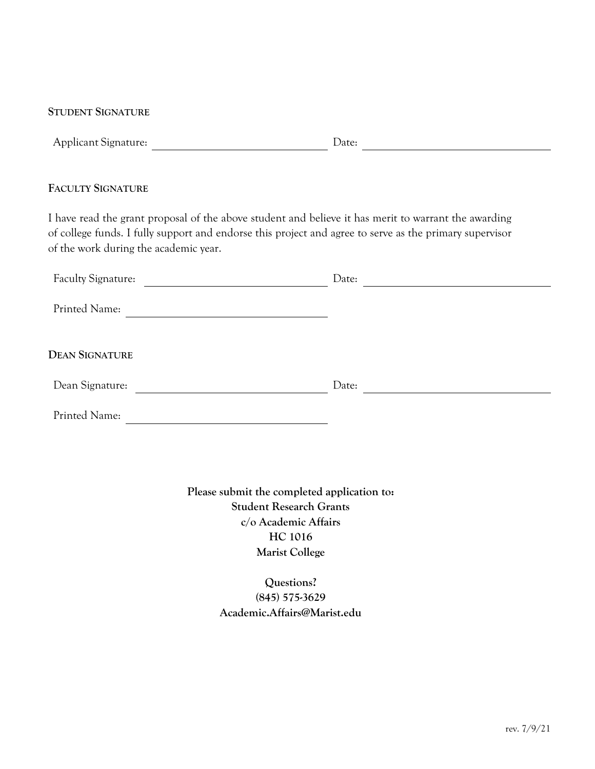#### **STUDENT SIGNATURE**

|  | <b>Applicant Signature:</b> | Date: |  |
|--|-----------------------------|-------|--|
|--|-----------------------------|-------|--|

#### **FACULTY SIGNATURE**

I have read the grant proposal of the above student and believe it has merit to warrant the awarding of college funds. I fully support and endorse this project and agree to serve as the primary supervisor of the work during the academic year.

| Faculty Signature:    | Date: |
|-----------------------|-------|
| Printed Name:         |       |
| <b>DEAN SIGNATURE</b> |       |
| Dean Signature:       | Date: |
| Printed Name:         |       |

**Please submit the completed application to: Student Research Grants c/o Academic Affairs HC 1016 Marist College**

> **Questions? (845) 575-3629 Academic.Affairs@Marist.edu**